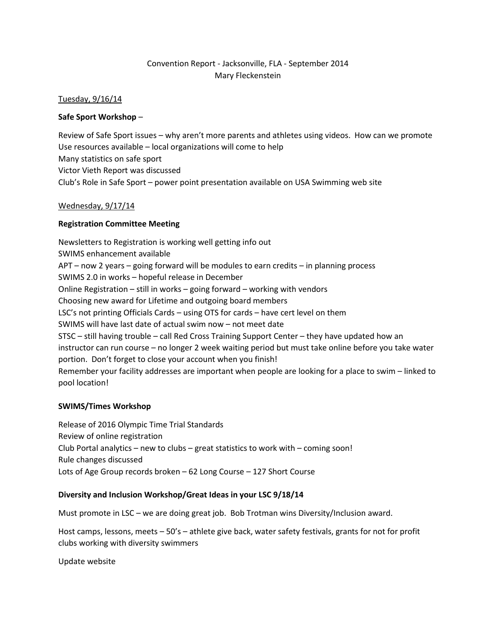# Convention Report - Jacksonville, FLA - September 2014 Mary Fleckenstein

### Tuesday, 9/16/14

### **Safe Sport Workshop** –

Review of Safe Sport issues – why aren't more parents and athletes using videos. How can we promote Use resources available – local organizations will come to help Many statistics on safe sport Victor Vieth Report was discussed Club's Role in Safe Sport – power point presentation available on USA Swimming web site

## Wednesday, 9/17/14

## **Registration Committee Meeting**

Newsletters to Registration is working well getting info out SWIMS enhancement available APT – now 2 years – going forward will be modules to earn credits – in planning process SWIMS 2.0 in works – hopeful release in December Online Registration – still in works – going forward – working with vendors Choosing new award for Lifetime and outgoing board members LSC's not printing Officials Cards – using OTS for cards – have cert level on them SWIMS will have last date of actual swim now – not meet date STSC – still having trouble – call Red Cross Training Support Center – they have updated how an instructor can run course – no longer 2 week waiting period but must take online before you take water portion. Don't forget to close your account when you finish! Remember your facility addresses are important when people are looking for a place to swim – linked to pool location!

#### **SWIMS/Times Workshop**

Release of 2016 Olympic Time Trial Standards Review of online registration Club Portal analytics – new to clubs – great statistics to work with – coming soon! Rule changes discussed Lots of Age Group records broken – 62 Long Course – 127 Short Course

#### **Diversity and Inclusion Workshop/Great Ideas in your LSC 9/18/14**

Must promote in LSC – we are doing great job. Bob Trotman wins Diversity/Inclusion award.

Host camps, lessons, meets – 50's – athlete give back, water safety festivals, grants for not for profit clubs working with diversity swimmers

Update website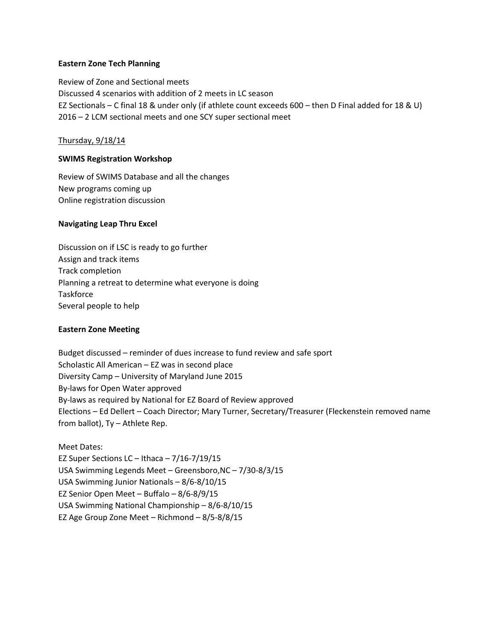#### **Eastern Zone Tech Planning**

Review of Zone and Sectional meets Discussed 4 scenarios with addition of 2 meets in LC season EZ Sectionals – C final 18 & under only (if athlete count exceeds 600 – then D Final added for 18 & U) 2016 – 2 LCM sectional meets and one SCY super sectional meet

### Thursday, 9/18/14

### **SWIMS Registration Workshop**

Review of SWIMS Database and all the changes New programs coming up Online registration discussion

#### **Navigating Leap Thru Excel**

Discussion on if LSC is ready to go further Assign and track items Track completion Planning a retreat to determine what everyone is doing **Taskforce** Several people to help

#### **Eastern Zone Meeting**

Budget discussed – reminder of dues increase to fund review and safe sport Scholastic All American – EZ was in second place Diversity Camp – University of Maryland June 2015 By-laws for Open Water approved By-laws as required by National for EZ Board of Review approved Elections – Ed Dellert – Coach Director; Mary Turner, Secretary/Treasurer (Fleckenstein removed name from ballot), Ty – Athlete Rep.

Meet Dates: EZ Super Sections LC – Ithaca – 7/16-7/19/15 USA Swimming Legends Meet – Greensboro,NC – 7/30-8/3/15 USA Swimming Junior Nationals – 8/6-8/10/15 EZ Senior Open Meet – Buffalo – 8/6-8/9/15 USA Swimming National Championship – 8/6-8/10/15 EZ Age Group Zone Meet – Richmond – 8/5-8/8/15